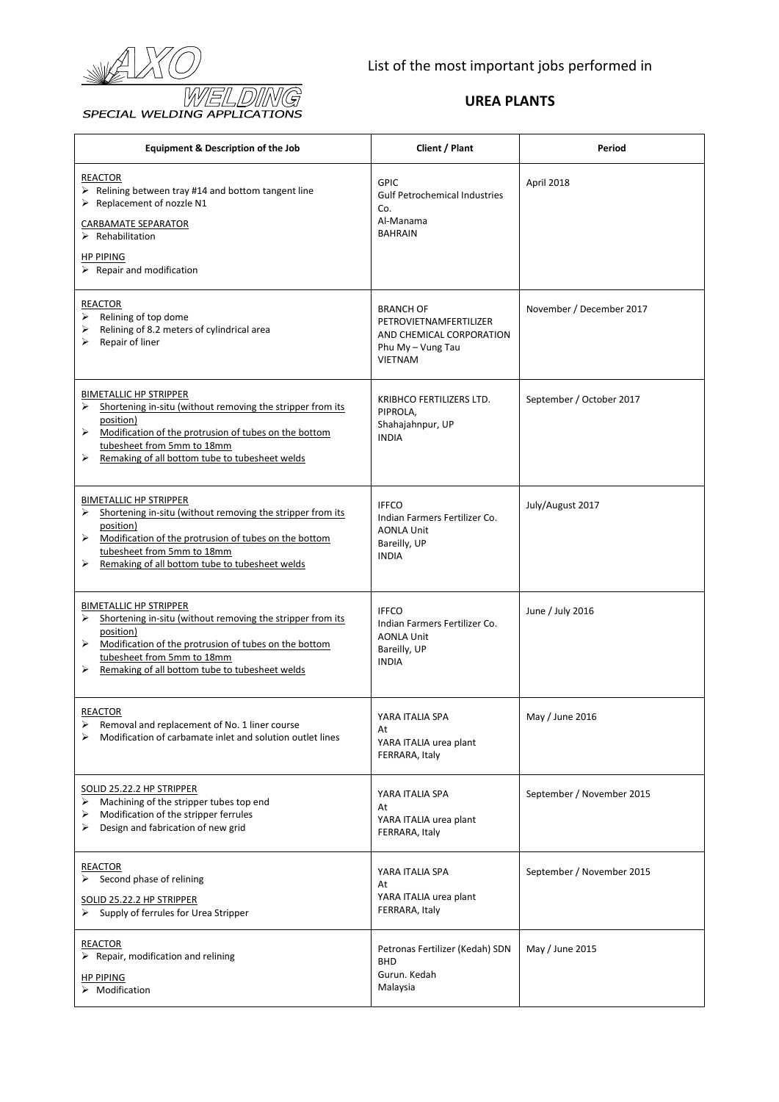

| <b>Equipment &amp; Description of the Job</b>                                                                                                                                                                                                                           | Client / Plant                                                                                                | Period                    |
|-------------------------------------------------------------------------------------------------------------------------------------------------------------------------------------------------------------------------------------------------------------------------|---------------------------------------------------------------------------------------------------------------|---------------------------|
| <b>REACTOR</b><br>$\triangleright$ Relining between tray #14 and bottom tangent line<br>> Replacement of nozzle N1<br>CARBAMATE SEPARATOR<br>$\triangleright$ Rehabilitation<br><b>HP PIPING</b>                                                                        | <b>GPIC</b><br><b>Gulf Petrochemical Industries</b><br>Co.<br>Al-Manama<br><b>BAHRAIN</b>                     | April 2018                |
| $\triangleright$ Repair and modification                                                                                                                                                                                                                                |                                                                                                               |                           |
| <b>REACTOR</b><br>$\triangleright$ Relining of top dome<br>Relining of 8.2 meters of cylindrical area<br>➤<br>Repair of liner                                                                                                                                           | <b>BRANCH OF</b><br>PETROVIETNAMFERTILIZER<br>AND CHEMICAL CORPORATION<br>Phu My - Vung Tau<br><b>VIETNAM</b> | November / December 2017  |
| <b>BIMETALLIC HP STRIPPER</b><br>Shortening in-situ (without removing the stripper from its<br>➤<br>position)<br>➤<br>Modification of the protrusion of tubes on the bottom<br>tubesheet from 5mm to 18mm<br>Remaking of all bottom tube to tubesheet welds             | KRIBHCO FERTILIZERS LTD.<br>PIPROLA,<br>Shahajahnpur, UP<br><b>INDIA</b>                                      | September / October 2017  |
| <b>BIMETALLIC HP STRIPPER</b><br>Shortening in-situ (without removing the stripper from its<br>➤<br>position)<br>Modification of the protrusion of tubes on the bottom<br>➤<br>tubesheet from 5mm to 18mm<br>Remaking of all bottom tube to tubesheet welds<br>➤        | <b>IFFCO</b><br>Indian Farmers Fertilizer Co.<br><b>AONLA Unit</b><br>Bareilly, UP<br><b>INDIA</b>            | July/August 2017          |
| <b>BIMETALLIC HP STRIPPER</b><br>Shortening in-situ (without removing the stripper from its<br>➤<br>position)<br>$\triangleright$ Modification of the protrusion of tubes on the bottom<br>tubesheet from 5mm to 18mm<br>Remaking of all bottom tube to tubesheet welds | <b>IFFCO</b><br>Indian Farmers Fertilizer Co.<br><b>AONLA Unit</b><br>Bareilly, UP<br><b>INDIA</b>            | June / July 2016          |
| REACTOR<br>Removal and replacement of No. 1 liner course<br>Modification of carbamate inlet and solution outlet lines<br>⋗                                                                                                                                              | YARA ITALIA SPA<br>At<br>YARA ITALIA urea plant<br>FERRARA, Italy                                             | May / June 2016           |
| <b>SOLID 25.22.2 HP STRIPPER</b><br>Machining of the stripper tubes top end<br>⋗<br>Modification of the stripper ferrules<br>⋗<br>Design and fabrication of new grid<br>⋗                                                                                               | YARA ITALIA SPA<br>At<br>YARA ITALIA urea plant<br>FERRARA, Italy                                             | September / November 2015 |
| REACTOR<br>$\triangleright$ Second phase of relining<br>SOLID 25.22.2 HP STRIPPER<br>Supply of ferrules for Urea Stripper                                                                                                                                               | YARA ITALIA SPA<br>At<br>YARA ITALIA urea plant<br>FERRARA, Italy                                             | September / November 2015 |
| <b>REACTOR</b><br>$\triangleright$ Repair, modification and relining<br><b>HP PIPING</b><br>$\triangleright$ Modification                                                                                                                                               | Petronas Fertilizer (Kedah) SDN<br><b>BHD</b><br>Gurun. Kedah<br>Malaysia                                     | May / June 2015           |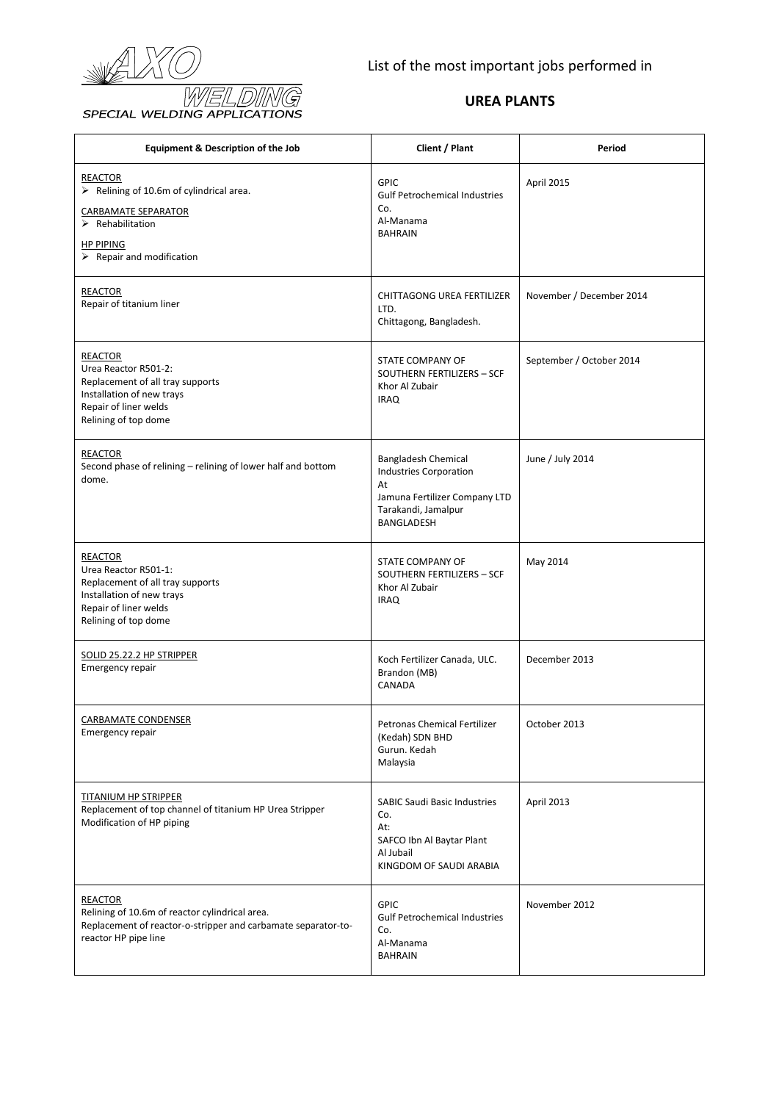

| <b>Equipment &amp; Description of the Job</b>                                                                                                                                                       | Client / Plant                                                                                                                          | Period                   |
|-----------------------------------------------------------------------------------------------------------------------------------------------------------------------------------------------------|-----------------------------------------------------------------------------------------------------------------------------------------|--------------------------|
| <b>REACTOR</b><br>$\triangleright$ Relining of 10.6m of cylindrical area.<br>CARBAMATE SEPARATOR<br>$\triangleright$ Rehabilitation<br><b>HP PIPING</b><br>$\triangleright$ Repair and modification | <b>GPIC</b><br><b>Gulf Petrochemical Industries</b><br>Co.<br>Al-Manama<br><b>BAHRAIN</b>                                               | April 2015               |
| <b>REACTOR</b><br>Repair of titanium liner                                                                                                                                                          | CHITTAGONG UREA FERTILIZER<br>LTD.<br>Chittagong, Bangladesh.                                                                           | November / December 2014 |
| <b>REACTOR</b><br>Urea Reactor R501-2:<br>Replacement of all tray supports<br>Installation of new trays<br>Repair of liner welds<br>Relining of top dome                                            | STATE COMPANY OF<br>SOUTHERN FERTILIZERS - SCF<br>Khor Al Zubair<br><b>IRAQ</b>                                                         | September / October 2014 |
| REACTOR<br>Second phase of relining - relining of lower half and bottom<br>dome.                                                                                                                    | <b>Bangladesh Chemical</b><br><b>Industries Corporation</b><br>At<br>Jamuna Fertilizer Company LTD<br>Tarakandi, Jamalpur<br>BANGLADESH | June / July 2014         |
| <b>REACTOR</b><br>Urea Reactor R501-1:<br>Replacement of all tray supports<br>Installation of new trays<br>Repair of liner welds<br>Relining of top dome                                            | STATE COMPANY OF<br>SOUTHERN FERTILIZERS - SCF<br>Khor Al Zubair<br><b>IRAQ</b>                                                         | May 2014                 |
| SOLID 25.22.2 HP STRIPPER<br><b>Emergency repair</b>                                                                                                                                                | Koch Fertilizer Canada, ULC.<br>Brandon (MB)<br>CANADA                                                                                  | December 2013            |
| CARBAMATE CONDENSER<br>Emergency repair                                                                                                                                                             | Petronas Chemical Fertilizer<br>(Kedah) SDN BHD<br>Gurun. Kedah<br>Malaysia                                                             | October 2013             |
| <b>TITANIUM HP STRIPPER</b><br>Replacement of top channel of titanium HP Urea Stripper<br>Modification of HP piping                                                                                 | <b>SABIC Saudi Basic Industries</b><br>Co.<br>At:<br>SAFCO Ibn Al Baytar Plant<br>Al Jubail<br>KINGDOM OF SAUDI ARABIA                  | April 2013               |
| <b>REACTOR</b><br>Relining of 10.6m of reactor cylindrical area.<br>Replacement of reactor-o-stripper and carbamate separator-to-<br>reactor HP pipe line                                           | <b>GPIC</b><br><b>Gulf Petrochemical Industries</b><br>Co.<br>Al-Manama<br><b>BAHRAIN</b>                                               | November 2012            |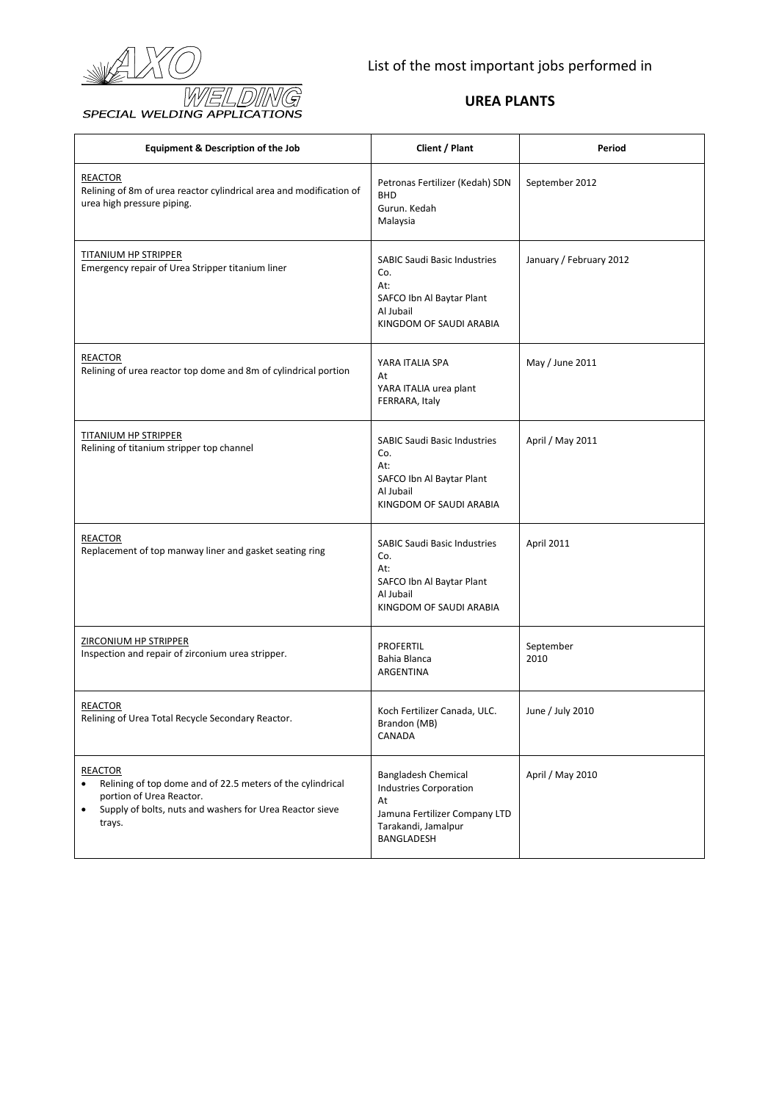

| <b>Equipment &amp; Description of the Job</b>                                                                                                                                               | Client / Plant                                                                                                                          | Period                  |
|---------------------------------------------------------------------------------------------------------------------------------------------------------------------------------------------|-----------------------------------------------------------------------------------------------------------------------------------------|-------------------------|
| <b>REACTOR</b><br>Relining of 8m of urea reactor cylindrical area and modification of<br>urea high pressure piping.                                                                         | Petronas Fertilizer (Kedah) SDN<br><b>BHD</b><br>Gurun. Kedah<br>Malaysia                                                               | September 2012          |
| <b>TITANIUM HP STRIPPER</b><br>Emergency repair of Urea Stripper titanium liner                                                                                                             | <b>SABIC Saudi Basic Industries</b><br>Co.<br>At:<br>SAFCO Ibn Al Baytar Plant<br>Al Jubail<br>KINGDOM OF SAUDI ARABIA                  | January / February 2012 |
| <b>REACTOR</b><br>Relining of urea reactor top dome and 8m of cylindrical portion                                                                                                           | YARA ITALIA SPA<br>At<br>YARA ITALIA urea plant<br>FERRARA, Italy                                                                       | May / June 2011         |
| TITANIUM HP STRIPPER<br>Relining of titanium stripper top channel                                                                                                                           | <b>SABIC Saudi Basic Industries</b><br>Co.<br>At:<br>SAFCO Ibn Al Baytar Plant<br>Al Jubail<br>KINGDOM OF SAUDI ARABIA                  | April / May 2011        |
| <b>REACTOR</b><br>Replacement of top manway liner and gasket seating ring                                                                                                                   | <b>SABIC Saudi Basic Industries</b><br>Co.<br>At:<br>SAFCO Ibn Al Baytar Plant<br>Al Jubail<br>KINGDOM OF SAUDI ARABIA                  | April 2011              |
| <b>ZIRCONIUM HP STRIPPER</b><br>Inspection and repair of zirconium urea stripper.                                                                                                           | <b>PROFERTIL</b><br>Bahia Blanca<br><b>ARGENTINA</b>                                                                                    | September<br>2010       |
| <b>REACTOR</b><br>Relining of Urea Total Recycle Secondary Reactor.                                                                                                                         | Koch Fertilizer Canada, ULC.<br>Brandon (MB)<br>CANADA                                                                                  | June / July 2010        |
| <b>REACTOR</b><br>Relining of top dome and of 22.5 meters of the cylindrical<br>$\bullet$<br>portion of Urea Reactor.<br>Supply of bolts, nuts and washers for Urea Reactor sieve<br>trays. | <b>Bangladesh Chemical</b><br><b>Industries Corporation</b><br>At<br>Jamuna Fertilizer Company LTD<br>Tarakandi, Jamalpur<br>BANGLADESH | April / May 2010        |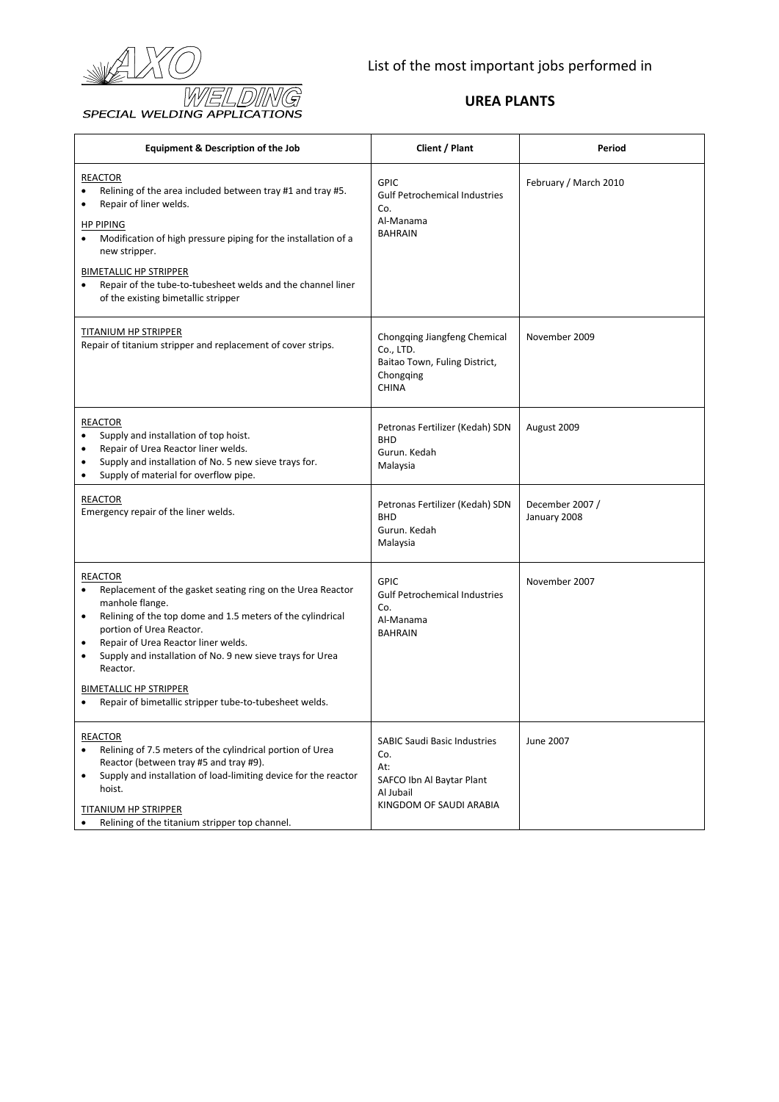

| <b>Equipment &amp; Description of the Job</b>                                                                                                                                                                                                                                                                                                                                                                                       | Client / Plant                                                                                                         | Period                          |
|-------------------------------------------------------------------------------------------------------------------------------------------------------------------------------------------------------------------------------------------------------------------------------------------------------------------------------------------------------------------------------------------------------------------------------------|------------------------------------------------------------------------------------------------------------------------|---------------------------------|
| <b>REACTOR</b><br>Relining of the area included between tray #1 and tray #5.<br>Repair of liner welds.<br><b>HP PIPING</b><br>Modification of high pressure piping for the installation of a<br>new stripper.<br><b>BIMETALLIC HP STRIPPER</b><br>Repair of the tube-to-tubesheet welds and the channel liner<br>of the existing bimetallic stripper                                                                                | <b>GPIC</b><br><b>Gulf Petrochemical Industries</b><br>Co.<br>Al-Manama<br><b>BAHRAIN</b>                              | February / March 2010           |
| TITANIUM HP STRIPPER<br>Repair of titanium stripper and replacement of cover strips.                                                                                                                                                                                                                                                                                                                                                | Chongqing Jiangfeng Chemical<br>Co., LTD.<br>Baitao Town, Fuling District,<br>Chongqing<br><b>CHINA</b>                | November 2009                   |
| <b>REACTOR</b><br>Supply and installation of top hoist.<br>Repair of Urea Reactor liner welds.<br>Supply and installation of No. 5 new sieve trays for.<br>$\bullet$<br>Supply of material for overflow pipe.<br>$\bullet$                                                                                                                                                                                                          | Petronas Fertilizer (Kedah) SDN<br><b>BHD</b><br>Gurun. Kedah<br>Malaysia                                              | August 2009                     |
| <b>REACTOR</b><br>Emergency repair of the liner welds.                                                                                                                                                                                                                                                                                                                                                                              | Petronas Fertilizer (Kedah) SDN<br><b>BHD</b><br>Gurun. Kedah<br>Malaysia                                              | December 2007 /<br>January 2008 |
| <b>REACTOR</b><br>Replacement of the gasket seating ring on the Urea Reactor<br>manhole flange.<br>Relining of the top dome and 1.5 meters of the cylindrical<br>$\bullet$<br>portion of Urea Reactor.<br>Repair of Urea Reactor liner welds.<br>$\bullet$<br>Supply and installation of No. 9 new sieve trays for Urea<br>٠<br>Reactor.<br><b>BIMETALLIC HP STRIPPER</b><br>Repair of bimetallic stripper tube-to-tubesheet welds. | <b>GPIC</b><br><b>Gulf Petrochemical Industries</b><br>Co.<br>Al-Manama<br><b>BAHRAIN</b>                              | November 2007                   |
| <b>REACTOR</b><br>Relining of 7.5 meters of the cylindrical portion of Urea<br>٠<br>Reactor (between tray #5 and tray #9).<br>Supply and installation of load-limiting device for the reactor<br>$\bullet$<br>hoist.<br>TITANIUM HP STRIPPER<br>Relining of the titanium stripper top channel.                                                                                                                                      | <b>SABIC Saudi Basic Industries</b><br>Co.<br>At:<br>SAFCO Ibn Al Baytar Plant<br>Al Jubail<br>KINGDOM OF SAUDI ARABIA | June 2007                       |